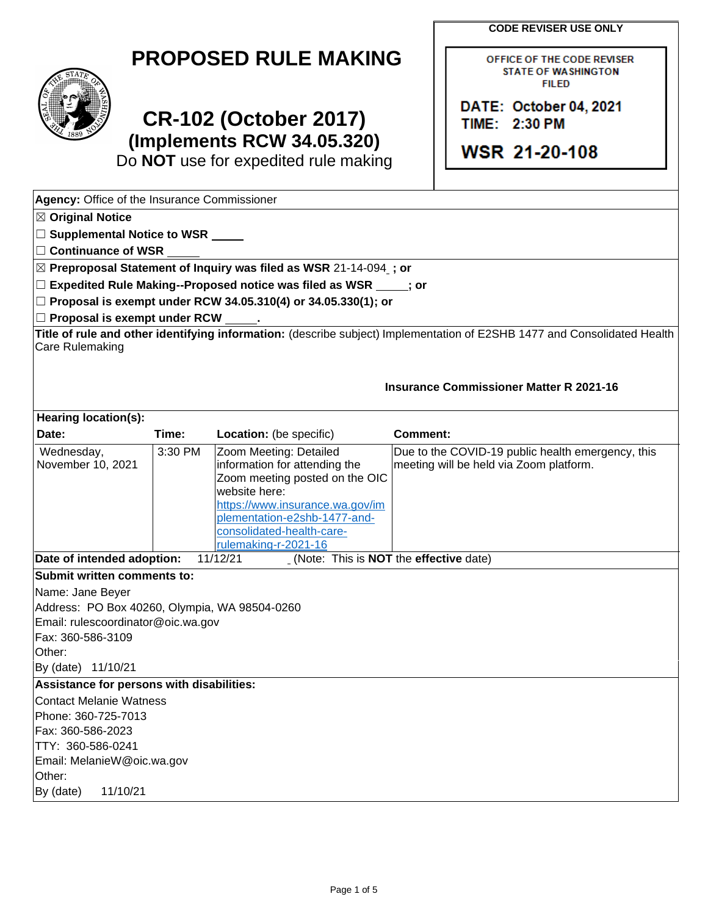**CODE REVISER USE ONLY** 

OFFICE OF THE CODE REVISER **STATE OF WASHINGTON FILED** 

**DATE: October 04, 2021** 

**WSR 21-20-108** 

TIIME: **.2:30 PM** 

|  | <b>PROPOSED RULE MAKING</b> |
|--|-----------------------------|
|--|-----------------------------|



**Agency:** Office of the Insurance Commissioner

# **CR-102 (October 2017) (Implements RCW 34.05.320)**

Do **NOT** use for expedited rule making

November 10, 2021 3:30 PM Name: Jane Beyer By (date) 11/10/21 Contact Melanie Watness<br>Phone: 360-725-7013<br>Fax: 360-586-2023 Phone: 360-725-7013 Email: MelanieW@oic.wa.gov<br>Other: By (date) 11/10/21 ☒ **Original Notice**  ☐ **Supplemental Notice to WSR**  ☐ **Continuance of WSR**  ☒ **Preproposal Statement of Inquiry was filed as WSR** 21-14-094 **; or**  ☐ **Expedited Rule Making--Proposed notice was filed as WSR ; or**  ☐ **Proposal is exempt under RCW 34.05.310(4) or 34.05.330(1); or**  □ Proposal is exempt under RCW **Title of rule and other identifying information:** (describe subject) Implementation of E2SHB 1477 and Consolidated Health Care Rulemaking **Insurance Commissioner Matter R 2021-16 Hearing location(s): Date:** Time: Location: (be specific) **Comment:** Wednesday,  $\vert$  3:30 PM  $\vert$  Zoom Meeting: Detailed  $\vert$  Due to the COVID-19 public health emergency, this information for attending the Zoom meeting posted on the OIC website here: [https://www.insurance.wa.gov/im](https://www.insurance.wa.gov/implementation-e2shb-1477-and-consolidated-health-care-rulemaking-r-2021-16)  [plementation-e2shb-1477-and](https://www.insurance.wa.gov/implementation-e2shb-1477-and-consolidated-health-care-rulemaking-r-2021-16)[consolidated-health-care](https://www.insurance.wa.gov/implementation-e2shb-1477-and-consolidated-health-care-rulemaking-r-2021-16)[rulemaking-r-2021-16](https://www.insurance.wa.gov/implementation-e2shb-1477-and-consolidated-health-care-rulemaking-r-2021-16)  meeting will be held via Zoom platform. **Date of intended adoption:** 11/12/21 (Note: This is **NOT** the **effective** date) **Submit written comments to:**  Address: PO Box 40260, Olympia, WA 98504-0260 Email: rulescoordinator@oic.wa.gov Fax: 360-586-3109 Other: **Assistance for persons with disabilities:**  TTY: 360-586-0241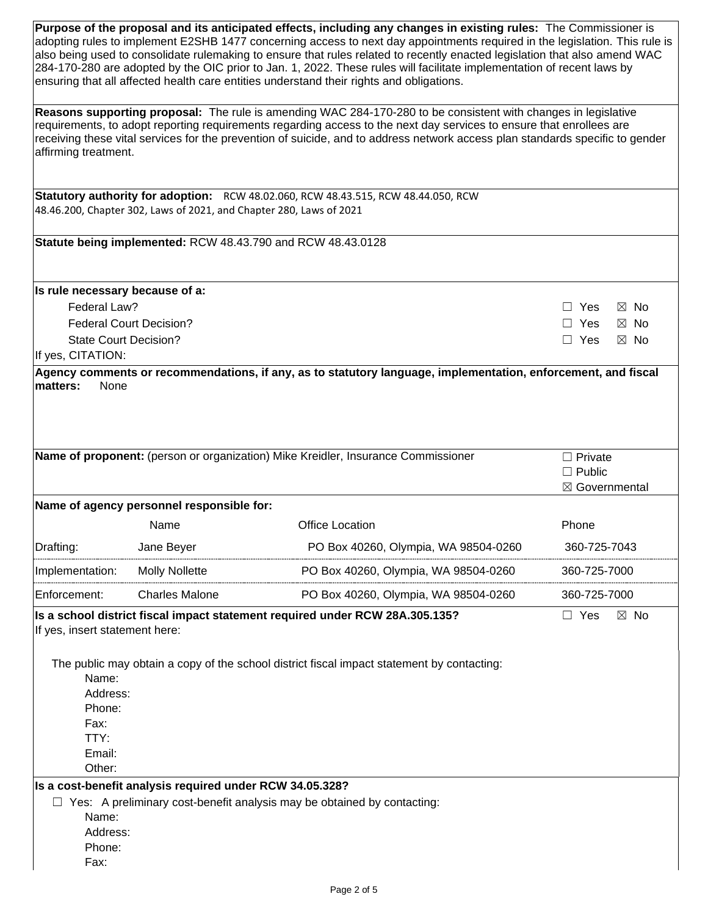| Purpose of the proposal and its anticipated effects, including any changes in existing rules: The Commissioner is<br>adopting rules to implement E2SHB 1477 concerning access to next day appointments required in the legislation. This rule is<br>also being used to consolidate rulemaking to ensure that rules related to recently enacted legislation that also amend WAC<br>284-170-280 are adopted by the OIC prior to Jan. 1, 2022. These rules will facilitate implementation of recent laws by<br>ensuring that all affected health care entities understand their rights and obligations. |                                                                     |                                                                                            |                              |  |  |  |  |
|------------------------------------------------------------------------------------------------------------------------------------------------------------------------------------------------------------------------------------------------------------------------------------------------------------------------------------------------------------------------------------------------------------------------------------------------------------------------------------------------------------------------------------------------------------------------------------------------------|---------------------------------------------------------------------|--------------------------------------------------------------------------------------------|------------------------------|--|--|--|--|
|                                                                                                                                                                                                                                                                                                                                                                                                                                                                                                                                                                                                      |                                                                     |                                                                                            |                              |  |  |  |  |
| Reasons supporting proposal: The rule is amending WAC 284-170-280 to be consistent with changes in legislative<br>requirements, to adopt reporting requirements regarding access to the next day services to ensure that enrollees are<br>receiving these vital services for the prevention of suicide, and to address network access plan standards specific to gender<br>affirming treatment.                                                                                                                                                                                                      |                                                                     |                                                                                            |                              |  |  |  |  |
|                                                                                                                                                                                                                                                                                                                                                                                                                                                                                                                                                                                                      |                                                                     | Statutory authority for adoption: RCW 48.02.060, RCW 48.43.515, RCW 48.44.050, RCW         |                              |  |  |  |  |
|                                                                                                                                                                                                                                                                                                                                                                                                                                                                                                                                                                                                      | 48.46.200, Chapter 302, Laws of 2021, and Chapter 280, Laws of 2021 |                                                                                            |                              |  |  |  |  |
|                                                                                                                                                                                                                                                                                                                                                                                                                                                                                                                                                                                                      |                                                                     | Statute being implemented: RCW 48.43.790 and RCW 48.43.0128                                |                              |  |  |  |  |
| Is rule necessary because of a:                                                                                                                                                                                                                                                                                                                                                                                                                                                                                                                                                                      |                                                                     |                                                                                            |                              |  |  |  |  |
| Federal Law?                                                                                                                                                                                                                                                                                                                                                                                                                                                                                                                                                                                         |                                                                     |                                                                                            | $\Box$ Yes<br>$\boxtimes$ No |  |  |  |  |
|                                                                                                                                                                                                                                                                                                                                                                                                                                                                                                                                                                                                      | <b>Federal Court Decision?</b>                                      |                                                                                            | $\Box$ Yes<br>$\boxtimes$ No |  |  |  |  |
| <b>State Court Decision?</b>                                                                                                                                                                                                                                                                                                                                                                                                                                                                                                                                                                         |                                                                     |                                                                                            | $\Box$ Yes<br>$\boxtimes$ No |  |  |  |  |
| If yes, CITATION:                                                                                                                                                                                                                                                                                                                                                                                                                                                                                                                                                                                    |                                                                     |                                                                                            |                              |  |  |  |  |
| Name of proponent: (person or organization) Mike Kreidler, Insurance Commissioner                                                                                                                                                                                                                                                                                                                                                                                                                                                                                                                    |                                                                     | $\Box$ Private<br>$\Box$ Public                                                            |                              |  |  |  |  |
|                                                                                                                                                                                                                                                                                                                                                                                                                                                                                                                                                                                                      |                                                                     |                                                                                            |                              |  |  |  |  |
|                                                                                                                                                                                                                                                                                                                                                                                                                                                                                                                                                                                                      |                                                                     |                                                                                            | ⊠ Governmental               |  |  |  |  |
|                                                                                                                                                                                                                                                                                                                                                                                                                                                                                                                                                                                                      | Name of agency personnel responsible for:<br>Name                   | <b>Office Location</b>                                                                     | Phone                        |  |  |  |  |
| Drafting:                                                                                                                                                                                                                                                                                                                                                                                                                                                                                                                                                                                            | Jane Beyer                                                          | PO Box 40260, Olympia, WA 98504-0260                                                       | 360-725-7043                 |  |  |  |  |
| Implementation:                                                                                                                                                                                                                                                                                                                                                                                                                                                                                                                                                                                      | <b>Molly Nollette</b>                                               | PO Box 40260, Olympia, WA 98504-0260                                                       | 360-725-7000                 |  |  |  |  |
| Enforcement:                                                                                                                                                                                                                                                                                                                                                                                                                                                                                                                                                                                         | <b>Charles Malone</b>                                               | PO Box 40260, Olympia, WA 98504-0260                                                       | 360-725-7000                 |  |  |  |  |
|                                                                                                                                                                                                                                                                                                                                                                                                                                                                                                                                                                                                      |                                                                     |                                                                                            |                              |  |  |  |  |
| If yes, insert statement here:                                                                                                                                                                                                                                                                                                                                                                                                                                                                                                                                                                       |                                                                     | Is a school district fiscal impact statement required under RCW 28A.305.135?               | $\Box$ Yes<br>$\boxtimes$ No |  |  |  |  |
| Name:<br>Address:<br>Phone:<br>Fax:<br>TTY:<br>Email:                                                                                                                                                                                                                                                                                                                                                                                                                                                                                                                                                |                                                                     | The public may obtain a copy of the school district fiscal impact statement by contacting: |                              |  |  |  |  |
| Other:                                                                                                                                                                                                                                                                                                                                                                                                                                                                                                                                                                                               |                                                                     |                                                                                            |                              |  |  |  |  |
|                                                                                                                                                                                                                                                                                                                                                                                                                                                                                                                                                                                                      | Is a cost-benefit analysis required under RCW 34.05.328?            |                                                                                            |                              |  |  |  |  |
|                                                                                                                                                                                                                                                                                                                                                                                                                                                                                                                                                                                                      |                                                                     | $\Box$ Yes: A preliminary cost-benefit analysis may be obtained by contacting:             |                              |  |  |  |  |
| Name:                                                                                                                                                                                                                                                                                                                                                                                                                                                                                                                                                                                                |                                                                     |                                                                                            |                              |  |  |  |  |
| Address:                                                                                                                                                                                                                                                                                                                                                                                                                                                                                                                                                                                             |                                                                     |                                                                                            |                              |  |  |  |  |
| Phone:                                                                                                                                                                                                                                                                                                                                                                                                                                                                                                                                                                                               |                                                                     |                                                                                            |                              |  |  |  |  |
| Fax:                                                                                                                                                                                                                                                                                                                                                                                                                                                                                                                                                                                                 |                                                                     |                                                                                            |                              |  |  |  |  |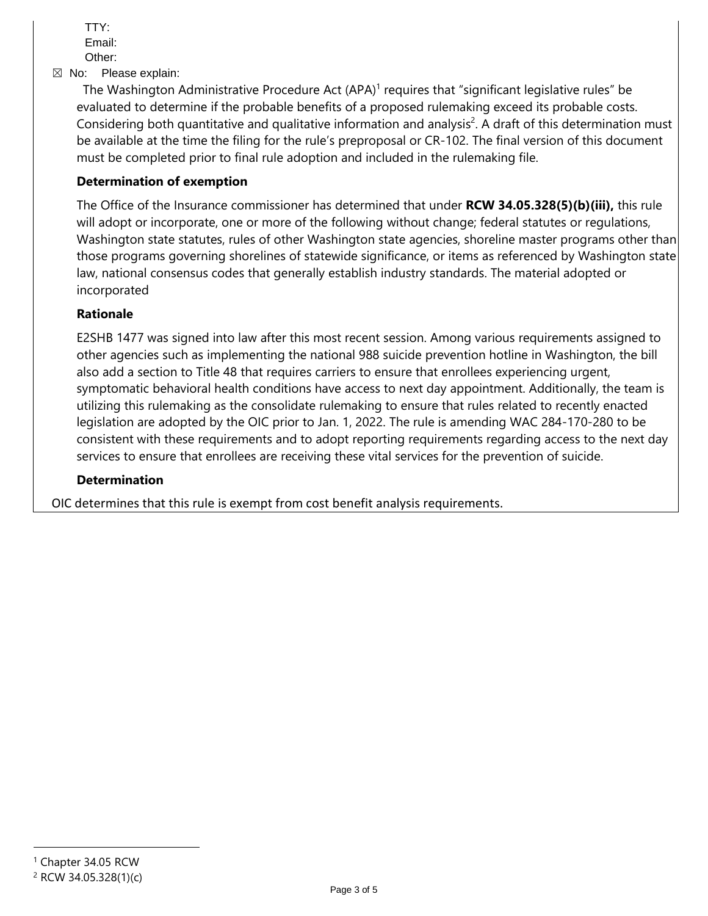TTY: Email: Other:

☒ No: Please explain:

The Washington Administrative Procedure Act  $(APA)^1$  requires that "significant legislative rules" be evaluated to determine if the probable benefits of a proposed rulemaking exceed its probable costs. Considering both quantitative and qualitative information and analysis<sup>2</sup>. A draft of this determination must be available at the time the filing for the rule's preproposal or CR-102. The final version of this document must be completed prior to final rule adoption and included in the rulemaking file.

### **Determination of exemption**

The Office of the Insurance commissioner has determined that under **RCW 34.05.328(5)(b)(iii),** this rule will adopt or incorporate, one or more of the following without change; federal statutes or regulations, Washington state statutes, rules of other Washington state agencies, shoreline master programs other than those programs governing shorelines of statewide significance, or items as referenced by Washington state law, national consensus codes that generally establish industry standards. The material adopted or incorporated

#### **Rationale**

E2SHB 1477 was signed into law after this most recent session. Among various requirements assigned to other agencies such as implementing the national 988 suicide prevention hotline in Washington, the bill also add a section to Title 48 that requires carriers to ensure that enrollees experiencing urgent, symptomatic behavioral health conditions have access to next day appointment. Additionally, the team is utilizing this rulemaking as the consolidate rulemaking to ensure that rules related to recently enacted legislation are adopted by the OIC prior to Jan. 1, 2022. The rule is amending WAC 284-170-280 to be consistent with these requirements and to adopt reporting requirements regarding access to the next day services to ensure that enrollees are receiving these vital services for the prevention of suicide.

#### **Determination**

OIC determines that this rule is exempt from cost benefit analysis requirements.

<sup>1</sup> Chapter 34.05 RCW

<sup>2</sup> RCW 34.05.328(1)(c)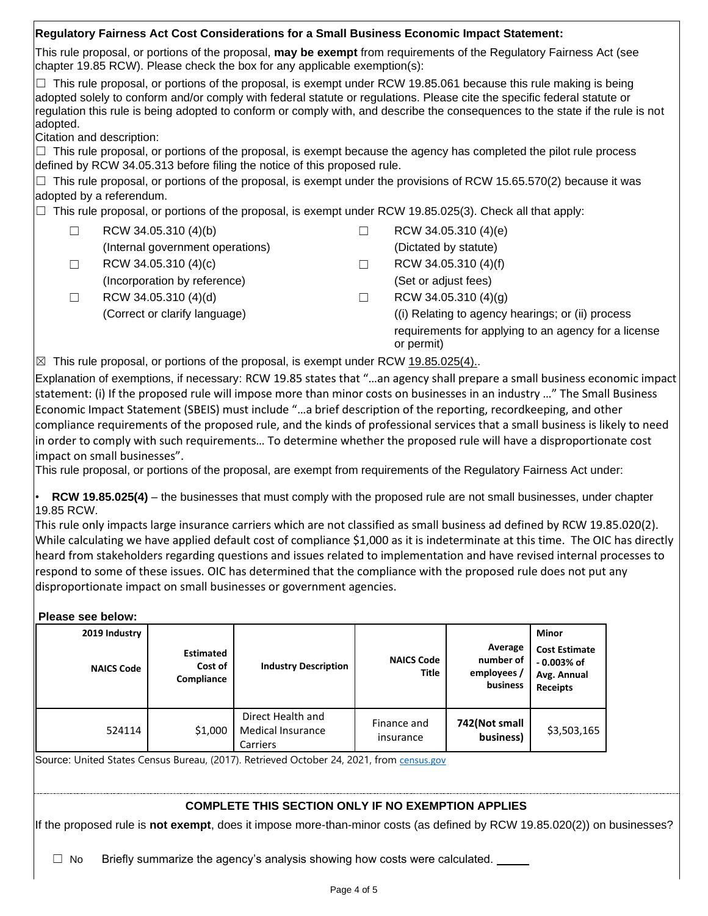|                                                                                                                                           | Regulatory Fairness Act Cost Considerations for a Small Business Economic Impact Statement:                                                                                                                                                                                                                                                                                           |  |  |  |  |  |  |  |
|-------------------------------------------------------------------------------------------------------------------------------------------|---------------------------------------------------------------------------------------------------------------------------------------------------------------------------------------------------------------------------------------------------------------------------------------------------------------------------------------------------------------------------------------|--|--|--|--|--|--|--|
|                                                                                                                                           | This rule proposal, or portions of the proposal, may be exempt from requirements of the Regulatory Fairness Act (see                                                                                                                                                                                                                                                                  |  |  |  |  |  |  |  |
|                                                                                                                                           | $\Box$ This rule proposal, or portions of the proposal, is exempt under RCW 19.85.061 because this rule making is being<br>adopted solely to conform and/or comply with federal statute or regulations. Please cite the specific federal statute or<br>regulation this rule is being adopted to conform or comply with, and describe the consequences to the state if the rule is not |  |  |  |  |  |  |  |
|                                                                                                                                           |                                                                                                                                                                                                                                                                                                                                                                                       |  |  |  |  |  |  |  |
|                                                                                                                                           | $\Box$ This rule proposal, or portions of the proposal, is exempt because the agency has completed the pilot rule process                                                                                                                                                                                                                                                             |  |  |  |  |  |  |  |
|                                                                                                                                           | $\Box$ This rule proposal, or portions of the proposal, is exempt under the provisions of RCW 15.65.570(2) because it was                                                                                                                                                                                                                                                             |  |  |  |  |  |  |  |
| adopted by a referendum.<br>This rule proposal, or portions of the proposal, is exempt under RCW 19.85.025(3). Check all that apply:<br>╙ |                                                                                                                                                                                                                                                                                                                                                                                       |  |  |  |  |  |  |  |
|                                                                                                                                           | RCW 34.05.310 (4)(e)                                                                                                                                                                                                                                                                                                                                                                  |  |  |  |  |  |  |  |
|                                                                                                                                           | (Dictated by statute)                                                                                                                                                                                                                                                                                                                                                                 |  |  |  |  |  |  |  |
| $\blacksquare$                                                                                                                            | RCW 34.05.310 (4)(f)                                                                                                                                                                                                                                                                                                                                                                  |  |  |  |  |  |  |  |
|                                                                                                                                           | (Set or adjust fees)                                                                                                                                                                                                                                                                                                                                                                  |  |  |  |  |  |  |  |
|                                                                                                                                           | RCW 34.05.310 (4)(g)                                                                                                                                                                                                                                                                                                                                                                  |  |  |  |  |  |  |  |
|                                                                                                                                           | ((i) Relating to agency hearings; or (ii) process                                                                                                                                                                                                                                                                                                                                     |  |  |  |  |  |  |  |
|                                                                                                                                           | requirements for applying to an agency for a license<br>or permit)                                                                                                                                                                                                                                                                                                                    |  |  |  |  |  |  |  |
| This rule proposal, or portions of the proposal, is exempt under RCW 19.85.025(4).<br>$\boxtimes$                                         |                                                                                                                                                                                                                                                                                                                                                                                       |  |  |  |  |  |  |  |
|                                                                                                                                           | chapter 19.85 RCW). Please check the box for any applicable exemption(s):<br>defined by RCW 34.05.313 before filing the notice of this proposed rule.                                                                                                                                                                                                                                 |  |  |  |  |  |  |  |

 statement: (i) If the proposed rule will impose more than minor costs on businesses in an industry …" The Small Business Explanation of exemptions, if necessary: RCW 19.85 states that "…an agency shall prepare a small business economic impact Economic Impact Statement (SBEIS) must include "…a brief description of the reporting, recordkeeping, and other compliance requirements of the proposed rule, and the kinds of professional services that a small business is likely to need in order to comply with such requirements… To determine whether the proposed rule will have a disproportionate cost impact on small businesses".

This rule proposal, or portions of the proposal, are exempt from requirements of the Regulatory Fairness Act under:

• **RCW 19.85.025(4)** – the businesses that must comply with the proposed rule are not small businesses, under chapter 19.85 RCW.

This rule only impacts large insurance carriers which are not classified as small business ad defined by RCW 19.85.020(2). While calculating we have applied default cost of compliance \$1,000 as it is indeterminate at this time. The OIC has directly heard from stakeholders regarding questions and issues related to implementation and have revised internal processes to respond to some of these issues. OIC has determined that the compliance with the proposed rule does not put any disproportionate impact on small businesses or government agencies.

**Please see below:** 

| IGASG SEG NGIUW.                   |                                           |                                                    |                            |                                                 |                                                                                 |
|------------------------------------|-------------------------------------------|----------------------------------------------------|----------------------------|-------------------------------------------------|---------------------------------------------------------------------------------|
| 2019 Industry<br><b>NAICS Code</b> | <b>Estimated</b><br>Cost of<br>Compliance | <b>Industry Description</b>                        | <b>NAICS Code</b><br>Title | Average<br>number of<br>employees /<br>business | Minor<br><b>Cost Estimate</b><br>$-0.003%$ of<br>Avg. Annual<br><b>Receipts</b> |
| 524114                             | \$1,000                                   | Direct Health and<br>Medical Insurance<br>Carriers | Finance and<br>insurance   | 742(Not small<br>business)                      | \$3,503,165                                                                     |

Source: United States Census Bureau, (2017). Retrieved October 24, 2021, from census.gov

## **COMPLETE THIS SECTION ONLY IF NO EXEMPTION APPLIES**

If the proposed rule is **not exempt**, does it impose more-than-minor costs (as defined by RCW 19.85.020(2)) on businesses?

 $\Box$  No Briefly summarize the agency's analysis showing how costs were calculated.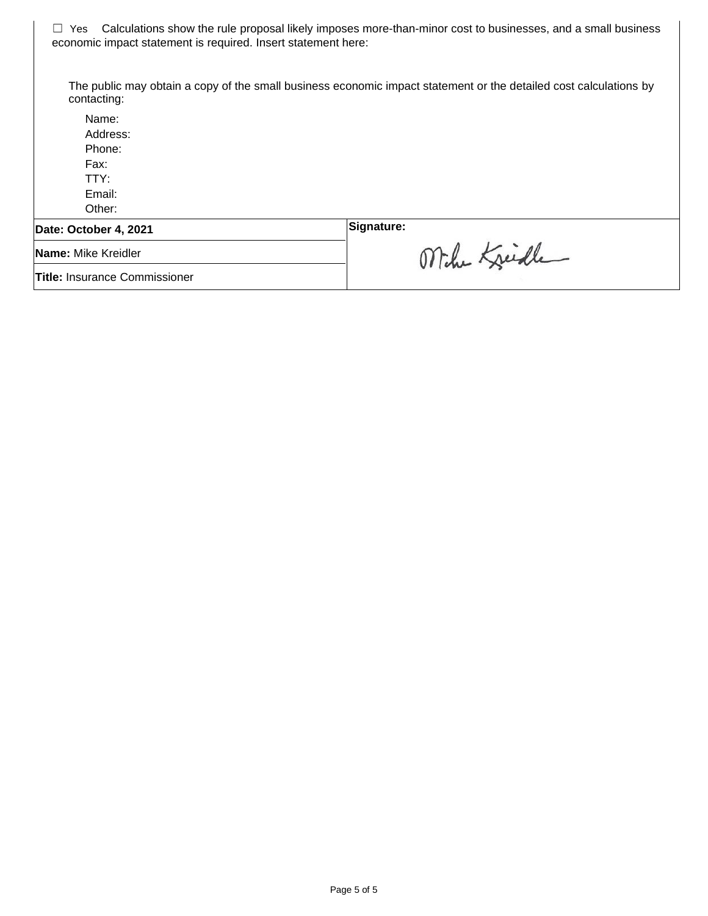☐ Yes Calculations show the rule proposal likely imposes more-than-minor cost to businesses, and a small business economic impact statement is required. Insert statement here:

The public may obtain a copy of the small business economic impact statement or the detailed cost calculations by contacting:

Name: Address: Phone: Fax: TTY: Email: Other: Date: October 4, 2021 **and Signature: Signature:** Mihr Kreidle **Name:** Mike Kreidler **Title:** Insurance Commissioner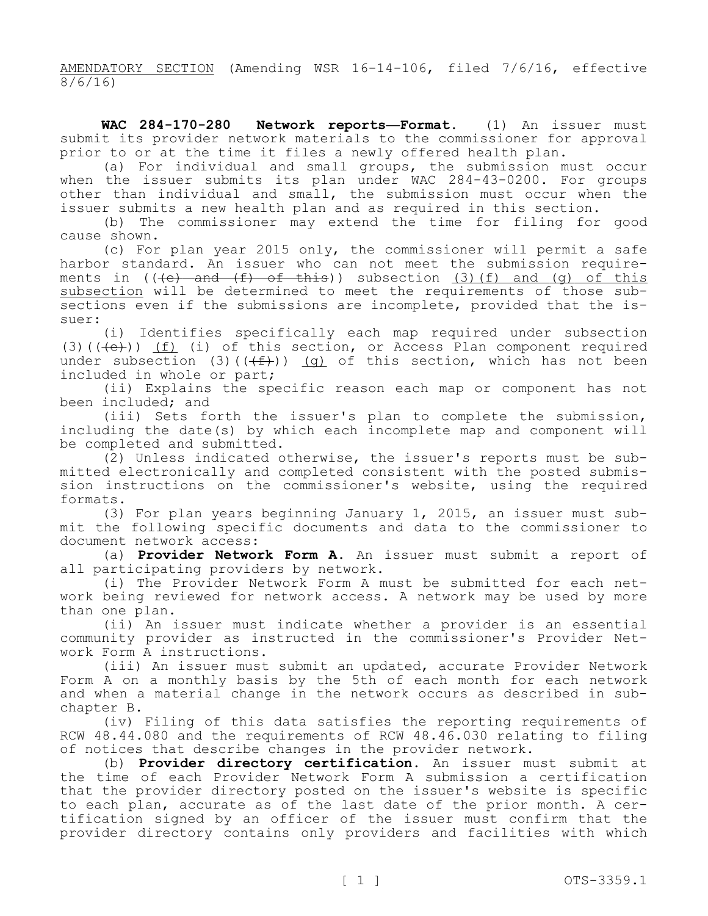AMENDATORY SECTION (Amending WSR 16-14-106, filed 7/6/16, effective 8/6/16)

 $WAC$  284-170-280 **Network reports-Format.** (1) An issuer must submit its provider network materials to the commissioner for approval prior to or at the time it files a newly offered health plan.

(a) For individual and small groups, the submission must occur when the issuer submits its plan under WAC 284-43-0200. For groups other than individual and small, the submission must occur when the issuer submits a new health plan and as required in this section.

(b) The commissioner may extend the time for filing for good cause shown.

ments in ((<del>(e) and (f) of this</del>)) subsection <u>(3)(f) and (g) of this</u> (c) For plan year 2015 only, the commissioner will permit a safe harbor standard. An issuer who can not meet the submission requiresubsection will be determined to meet the requirements of those subsections even if the submissions are incomplete, provided that the issuer:

(3)( $(\text{+e})$ )  $(f)$  (i) of this section, or Access Plan component required under subsection (3)(( $(f+)$ )) <u>(g)</u> of this section, which has not been (i) Identifies specifically each map required under subsection included in whole or part;

(ii) Explains the specific reason each map or component has not been included; and

(iii) Sets forth the issuer's plan to complete the submission, including the date(s) by which each incomplete map and component will be completed and submitted.

(2) Unless indicated otherwise, the issuer's reports must be submitted electronically and completed consistent with the posted submis- sion instructions on the commissioner's website, using the required formats.

(3) For plan years beginning January 1, 2015, an issuer must sub- mit the following specific documents and data to the commissioner to document network access:

(a) **Provider Network Form A.** An issuer must submit a report of all participating providers by network.

(i) The Provider Network Form A must be submitted for each net- work being reviewed for network access. A network may be used by more than one plan.

(ii) An issuer must indicate whether a provider is an essential community provider as instructed in the commissioner's Provider Net- work Form A instructions.

(iii) An issuer must submit an updated, accurate Provider Network Form A on a monthly basis by the 5th of each month for each network and when a material change in the network occurs as described in subchapter B.

(iv) Filing of this data satisfies the reporting requirements of RCW 48.44.080 and the requirements of RCW 48.46.030 relating to filing of notices that describe changes in the provider network.

(b) **Provider directory certification.** An issuer must submit at the time of each Provider Network Form A submission a certification that the provider directory posted on the issuer's website is specific to each plan, accurate as of the last date of the prior month. A certification signed by an officer of the issuer must confirm that the provider directory contains only providers and facilities with which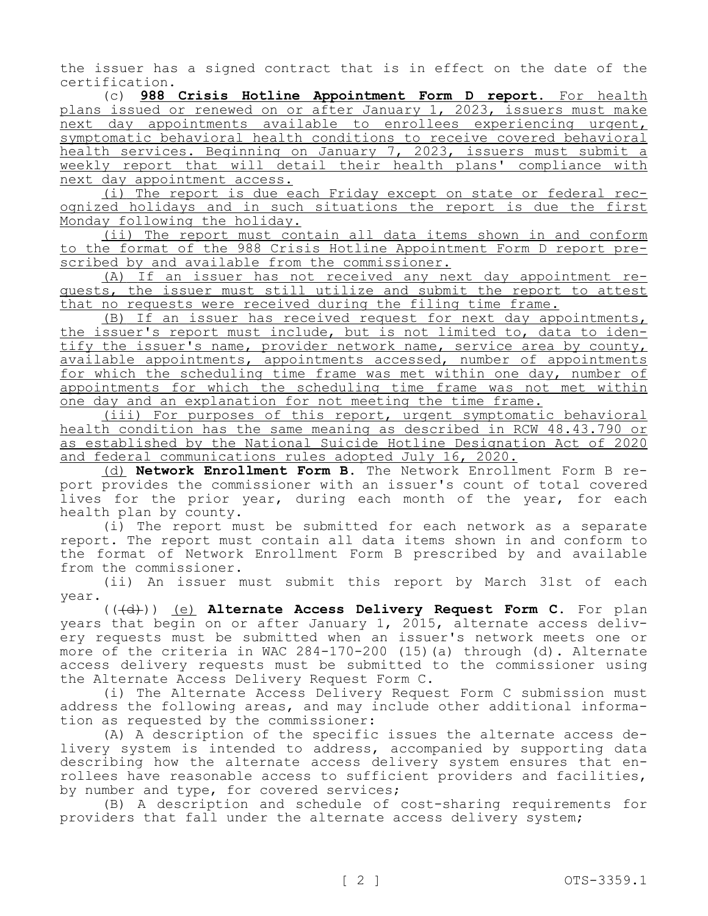the issuer has a signed contract that is in effect on the date of the certification.

(c) **988 Crisis Hotline Appointment Form D report.** For health plans issued or renewed on or after January 1, 2023, issuers must make next day appointments available to enrollees experiencing urgent, symptomatic behavioral health conditions to receive covered behavioral health services. Beginning on January 7, 2023, issuers must submit a weekly report that will detail their health plans' compliance with next day appointment access.<br>(i) The report is due each Friday except on state or federal rec-

ognized holidays and in such situations the report is due the first Monday following the holiday.

(ii) The report must contain all data items shown in and conform to the format of the 988 Crisis Hotline Appointment Form D report pre-<br>scribed by and available from the commissioner.<br>(A) If an issuer has not received any next day appointment re-

quests, the issuer must still utilize and submit the report to attest that no requests were received during the filing time frame.

(B) If an issuer has received request for next day appointments,<br>the issuer's report must include, but is not limited to, data to identify the issuer's name, provider network name, service area by county, available appointments, appointments accessed, number of appointments for which the scheduling time frame was met within one day, number of appointments for which the scheduling time frame was not met within one day and an explanation for not meeting the time frame.

(iii) For purposes of this report, urgent symptomatic behavioral health condition has the same meaning as described in RCW 48.43.790 or as established by the National Suicide Hotline Designation Act of 2020 and federal communications rules adopted July 16, 2020.<br>(d) **Network Enrollment Form B**. The Network Enrollment Form B re-

port provides the commissioner with an issuer's count of total covered lives for the prior year, during each month of the year, for each health plan by county.

(i) The report must be submitted for each network as a separate report. The report must contain all data items shown in and conform to the format of Network Enrollment Form B prescribed by and available from the commissioner.

(ii) An issuer must submit this report by March 31st of each year.

(((d))) (e) **Alternate Access Delivery Request Form C.** For plan years that begin on or after January 1, 2015, alternate access deliv-<br>ery requests must be submitted when an issuer's network meets one or more of the criteria in WAC 284-170-200 (15)(a) through (d). Alternate access delivery requests must be submitted to the commissioner using the Alternate Access Delivery Request Form C.

(i) The Alternate Access Delivery Request Form C submission must address the following areas, and may include other additional information as requested by the commissioner:

(A) A description of the specific issues the alternate access delivery system is intended to address, accompanied by supporting data describing how the alternate access delivery system ensures that enrollees have reasonable access to sufficient providers and facilities, by number and type, for covered services;

(B) A description and schedule of cost-sharing requirements for providers that fall under the alternate access delivery system;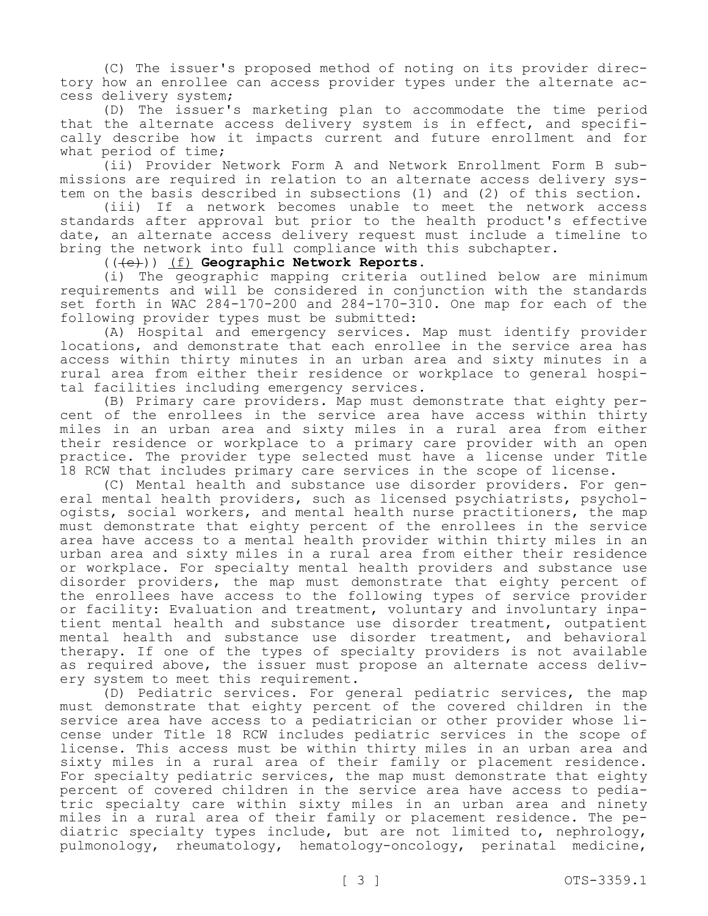(C) The issuer's proposed method of noting on its provider direc- tory how an enrollee can access provider types under the alternate ac- cess delivery system;

(D) The issuer's marketing plan to accommodate the time period that the alternate access delivery system is in effect, and specifi- cally describe how it impacts current and future enrollment and for

what period of time;<br>(ii) Provider Network Form A and Network Enrollment Form B submissions are required in relation to an alternate access delivery sys-<br>tem on the basis described in subsections (1) and (2) of this section.

(iii) If a network becomes unable to meet the network access standards after approval but prior to the health product's effective date, an alternate access delivery request must include a timeline to bring the network into full compliance with this subchapter.

(((e))) (f) **Geographic Network Reports.**

(i) The geographic mapping criteria outlined below are minimum requirements and will be considered in conjunction with the standards set forth in WAC 284-170-200 and 284-170-310. One map for each of the following provider types must be submitted:

(A) Hospital and emergency services. Map must identify provider locations, and demonstrate that each enrollee in the service area has access within thirty minutes in an urban area and sixty minutes in a rural area from either their residence or workplace to general hospi-<br>tal facilities including emergency services.<br>(B) Primary care providers. Map must demonstrate that eighty per-

cent of the enrollees in the service area have access within thirty miles in an urban area and sixty miles in a rural area from either their residence or workplace to a primary care provider with an open practice. The provider type selected must have a license under Title 18 RCW that includes primary care services in the scope of license.<br>(C) Mental health and substance use disorder providers. For gen-

eral mental health providers, such as licensed psychiatrists, psychol-<br>ogists, social workers, and mental health nurse practitioners, the map must demonstrate that eighty percent of the enrollees in the service area have access to a mental health provider within thirty miles in an urban area and sixty miles in a rural area from either their residence or workplace. For specialty mental health providers and substance use disorder providers, the map must demonstrate that eighty percent of the enrollees have access to the following types of service provider or facility: Evaluation and treatment, voluntary and involuntary inpa- tient mental health and substance use disorder treatment, outpatient mental health and substance use disorder treatment, and behavioral therapy. If one of the types of specialty providers is not available as required above, the issuer must propose an alternate access deliv-<br>ery system to meet this requirement.

(D) Pediatric services. For general pediatric services, the map must demonstrate that eighty percent of the covered children in the service area have access to a pediatrician or other provider whose license under Title 18 RCW includes pediatric services in the scope of license. This access must be within thirty miles in an urban area and sixty miles in a rural area of their family or placement residence. For specialty pediatric services, the map must demonstrate that eighty percent of covered children in the service area have access to pediatric specialty care within sixty miles in an urban area and ninety miles in a rural area of their family or placement residence. The pe-<br>diatric specialty types include, but are not limited to, nephrology, pulmonology, rheumatology, hematology-oncology, perinatal medicine,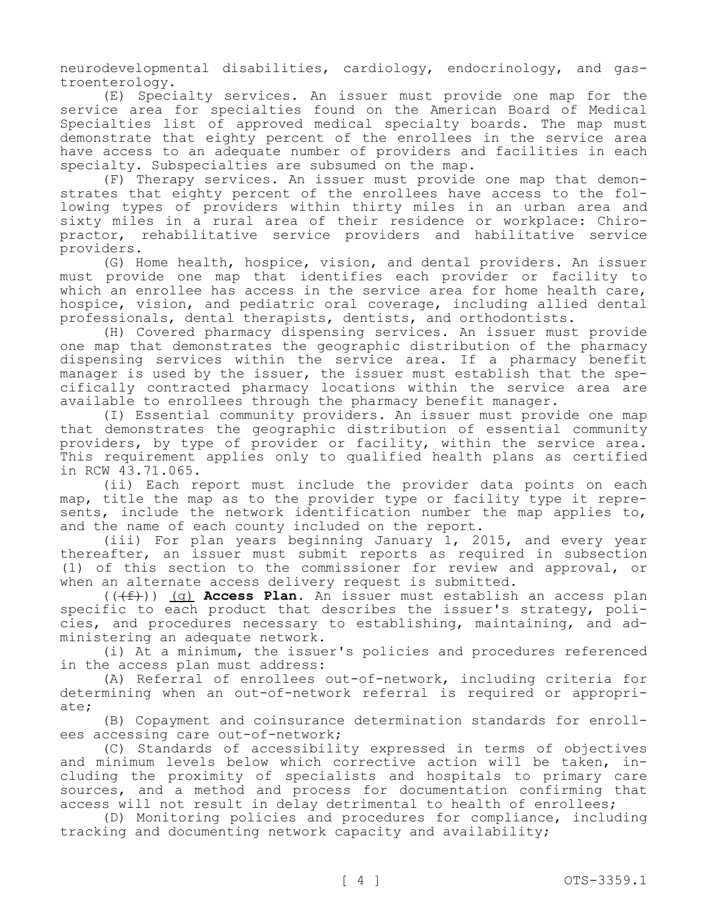neurodevelopmental disabilities, cardiology, endocrinology, and gas-<br>troenterology.

(E) Specialty services. An issuer must provide one map for the service area for specialties found on the American Board of Medical Specialties list of approved medical specialty boards. The map must demonstrate that eighty percent of the enrollees in the service area have access to an adequate number of providers and facilities in each specialty. Subspecialties are subsumed on the map.<br>(F) Therapy services. An issuer must provide one map that demon-

strates that eighty percent of the enrollees have access to the fol-<br>lowing types of providers within thirty miles in an urban area and<br>sixty miles in a rural area of their residence or workplace: Chiropractor, rehabilitative service providers and habilitative service providers.

(G) Home health, hospice, vision, and dental providers. An issuer must provide one map that identifies each provider or facility to which an enrollee has access in the service area for home health care, hospice, vision, and pediatric oral coverage, including allied dental professionals, dental therapists, dentists, and orthodontists.

(H) Covered pharmacy dispensing services. An issuer must provide one map that demonstrates the geographic distribution of the pharmacy dispensing services within the service area. If a pharmacy benefit manager is used by the issuer, the issuer must establish that the spe- cifically contracted pharmacy locations within the service area are available to enrollees through the pharmacy benefit manager.

(I) Essential community providers. An issuer must provide one map that demonstrates the geographic distribution of essential community providers, by type of provider or facility, within the service area. This requirement applies only to qualified health plans as certified in RCW 43.71.065.

(ii) Each report must include the provider data points on each<br>map, title the map as to the provider type or facility type it represents, include the network identification number the map applies to, and the name of each county included on the report.

(iii) For plan years beginning January 1, 2015, and every year thereafter, an issuer must submit reports as required in subsection (1) of this section to the commissioner for review and approval, or when an alternate access delivery request is submitted.

(((f))) (g) **Access Plan.** An issuer must establish an access plan specific to each product that describes the issuer's strategy, poli-<br>cies, and procedures necessary to establishing, maintaining, and ad-<br>ministering an adequate network.

(i) At a minimum, the issuer's policies and procedures referenced in the access plan must address:

(A) Referral of enrollees out-of-network, including criteria for determining when an out-of-network referral is required or appropriate;

(B) Copayment and coinsurance determination standards for enrollees accessing care out-of-network;

(C) Standards of accessibility expressed in terms of objectives and minimum levels below which corrective action will be taken, including the proximity of specialists and hospitals to primary care sources, and a method and process for documentation confirming that access will not result in delay detrimental to health of enrollees;

(D) Monitoring policies and procedures for compliance, including tracking and documenting network capacity and availability;